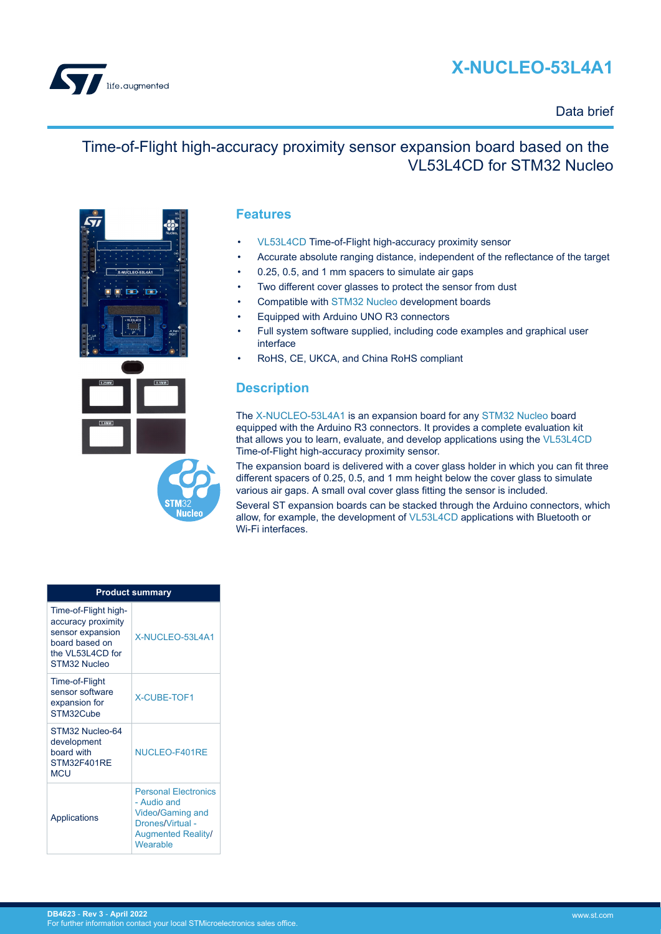



### Data brief

### Time-of-Flight high-accuracy proximity sensor expansion board based on the VL53L4CD for STM32 Nucleo



### **Features**

- [VL53L4CD](https://www.st.com/en/product/vl53l4cd?ecmp=tt9470_gl_link_feb2019&rt=db&id=DB4623) Time-of-Flight high-accuracy proximity sensor
- Accurate absolute ranging distance, independent of the reflectance of the target
- 0.25, 0.5, and 1 mm spacers to simulate air gaps
- Two different cover glasses to protect the sensor from dust
- Compatible with [STM32 Nucleo](https://www.st.com/stm32nucleo) development boards
- Equipped with Arduino UNO R3 connectors
- Full system software supplied, including code examples and graphical user interface
- RoHS, CE, UKCA, and China RoHS compliant

### **Description**

The [X-NUCLEO-53L4A1](https://www.st.com/en/product/X-NUCLEO-53L4A1?ecmp=tt9470_gl_link_feb2019&rt=db&id=DB4623) is an expansion board for any [STM32 Nucleo](https://www.st.com/stm32nucleo) board equipped with the Arduino R3 connectors. It provides a complete evaluation kit that allows you to learn, evaluate, and develop applications using the [VL53L4CD](https://www.st.com/en/product/vl53l4cd?ecmp=tt9470_gl_link_feb2019&rt=db&id=DB4623) Time-of-Flight high-accuracy proximity sensor.

The expansion board is delivered with a cover glass holder in which you can fit three different spacers of 0.25, 0.5, and 1 mm height below the cover glass to simulate various air gaps. A small oval cover glass fitting the sensor is included.

Several ST expansion boards can be stacked through the Arduino connectors, which allow, for example, the development of [VL53L4CD](https://www.st.com/en/product/vl53l4cd?ecmp=tt9470_gl_link_feb2019&rt=db&id=DB4623) applications with Bluetooth or Wi-Fi interfaces.

| <b>Product summary</b>                                                                                               |                                                                                                                                    |  |
|----------------------------------------------------------------------------------------------------------------------|------------------------------------------------------------------------------------------------------------------------------------|--|
| Time-of-Flight high-<br>accuracy proximity<br>sensor expansion<br>board based on<br>the VL53L4CD for<br>STM32 Nucleo | X-NUCLEO-53L4A1                                                                                                                    |  |
| Time-of-Flight<br>sensor software<br>expansion for<br>STM32Cube                                                      | <b>X-CUBE-TOF1</b>                                                                                                                 |  |
| STM32 Nucleo-64<br>development<br>board with<br>STM32F401RF<br><b>MCU</b>                                            | NUCLEO-F401RE                                                                                                                      |  |
| Applications                                                                                                         | <b>Personal Electronics</b><br>- Audio and<br><b>Video/Gaming and</b><br>Drones/Virtual -<br><b>Augmented Reality/</b><br>Wearable |  |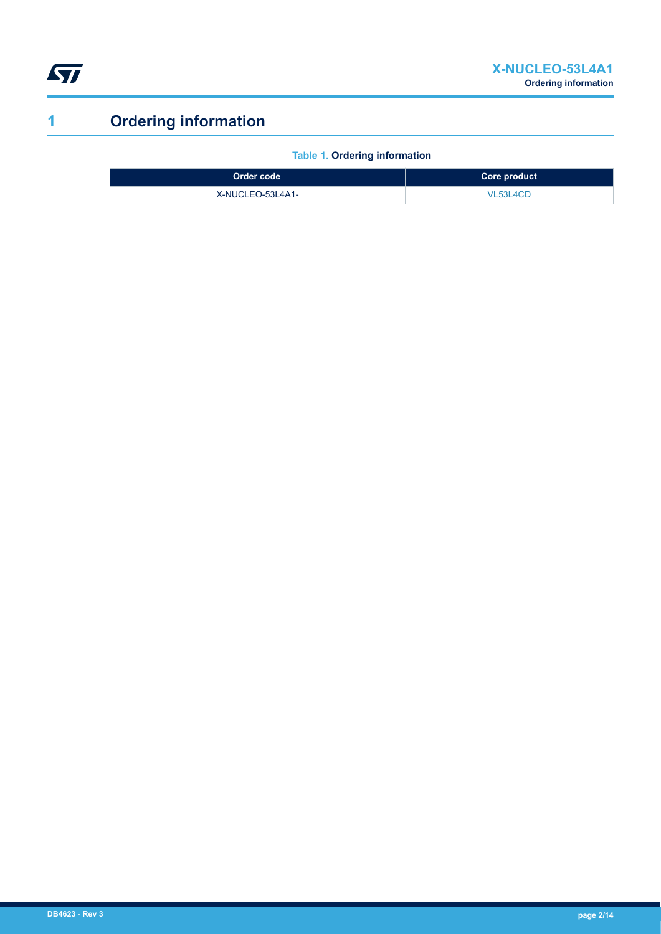<span id="page-1-0"></span>

# **1 Ordering information**

**Table 1. Ordering information**

| ⊦Order code <sup>⊦</sup> | Core product |
|--------------------------|--------------|
| X-NUCLEO-53L4A1-         | VL53L4CD     |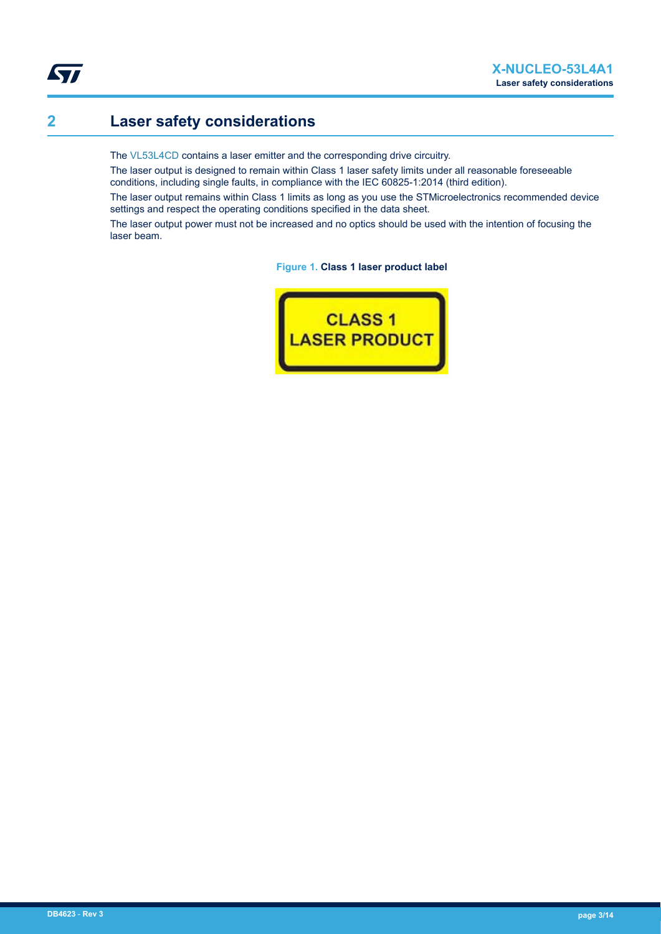# **2 Laser safety considerations**

**ST** 

The [VL53L4CD](https://www.st.com/en/product/vl53l4cd?ecmp=tt9470_gl_link_feb2019&rt=db&id=DB4623) contains a laser emitter and the corresponding drive circuitry.

The laser output is designed to remain within Class 1 laser safety limits under all reasonable foreseeable conditions, including single faults, in compliance with the IEC 60825-1:2014 (third edition).

The laser output remains within Class 1 limits as long as you use the STMicroelectronics recommended device settings and respect the operating conditions specified in the data sheet.

The laser output power must not be increased and no optics should be used with the intention of focusing the laser beam.

**Figure 1. Class 1 laser product label**

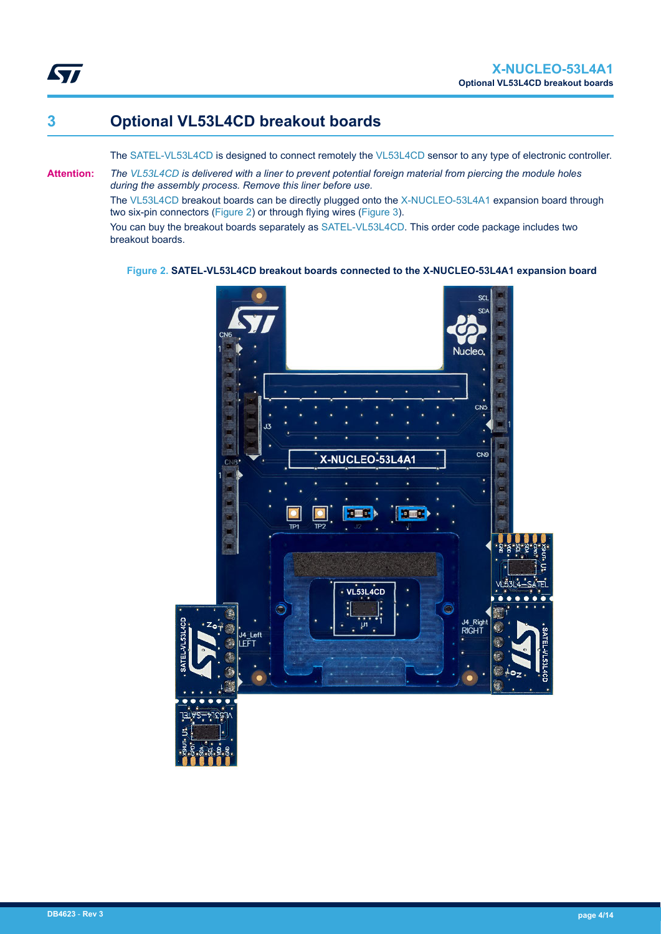## **3 Optional VL53L4CD breakout boards**

The [SATEL-VL53L4CD](https://www.st.com/en/product/SATEL-VL53L4CD?ecmp=tt9470_gl_link_feb2019&rt=db&id=DB4623) is designed to connect remotely the [VL53L4CD](https://www.st.com/en/product/vl53l4cd?ecmp=tt9470_gl_link_feb2019&rt=db&id=DB4623) sensor to any type of electronic controller.

**Attention:** *The [VL53L4CD](https://www.st.com/en/product/vl53l4cd?ecmp=tt9470_gl_link_feb2019&rt=db&id=DB4623) is delivered with a liner to prevent potential foreign material from piercing the module holes during the assembly process. Remove this liner before use.*

The [VL53L4CD](https://www.st.com/en/product/vl53l4cd?ecmp=tt9470_gl_link_feb2019&rt=db&id=DB4623) breakout boards can be directly plugged onto the [X-NUCLEO-53L4A1](https://www.st.com/en/product/X-NUCLEO-53L4A1?ecmp=tt9470_gl_link_feb2019&rt=db&id=DB4623) expansion board through two six-pin connectors (Figure 2) or through flying wires ([Figure 3\)](#page-4-0).

You can buy the breakout boards separately as [SATEL-VL53L4CD](https://www.st.com/en/product/SATEL-VL53L4CD?ecmp=tt9470_gl_link_feb2019&rt=db&id=DB4623). This order code package includes two breakout boards.

**Figure 2. SATEL-VL53L4CD breakout boards connected to the X-NUCLEO-53L4A1 expansion board**

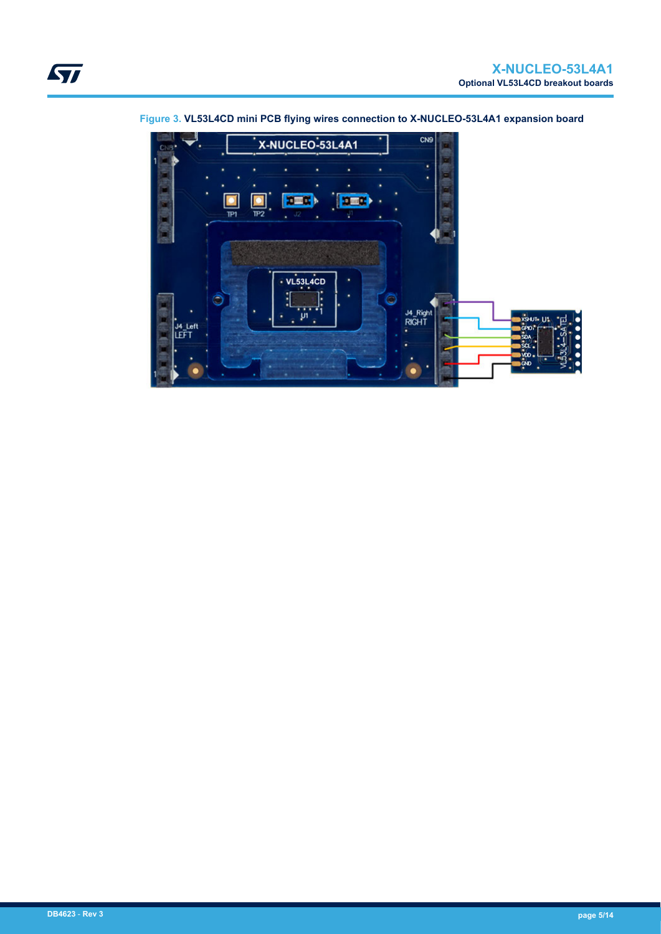

<span id="page-4-0"></span>**Figure 3. VL53L4CD mini PCB flying wires connection to X-NUCLEO-53L4A1 expansion board**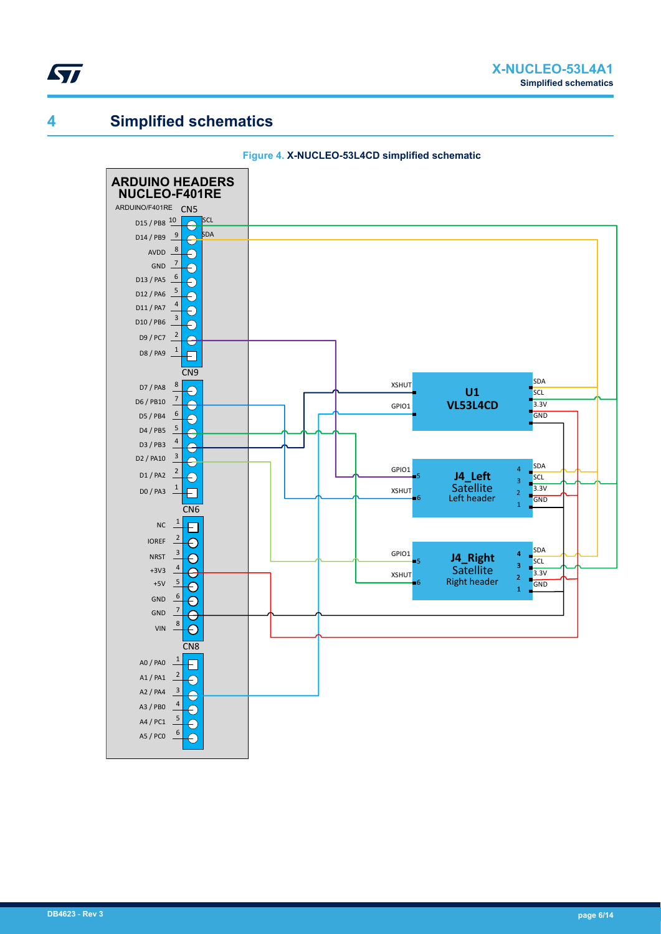

### **4 Simplified schematics**



#### **Figure 4. X-NUCLEO-53L4CD simplified schematic**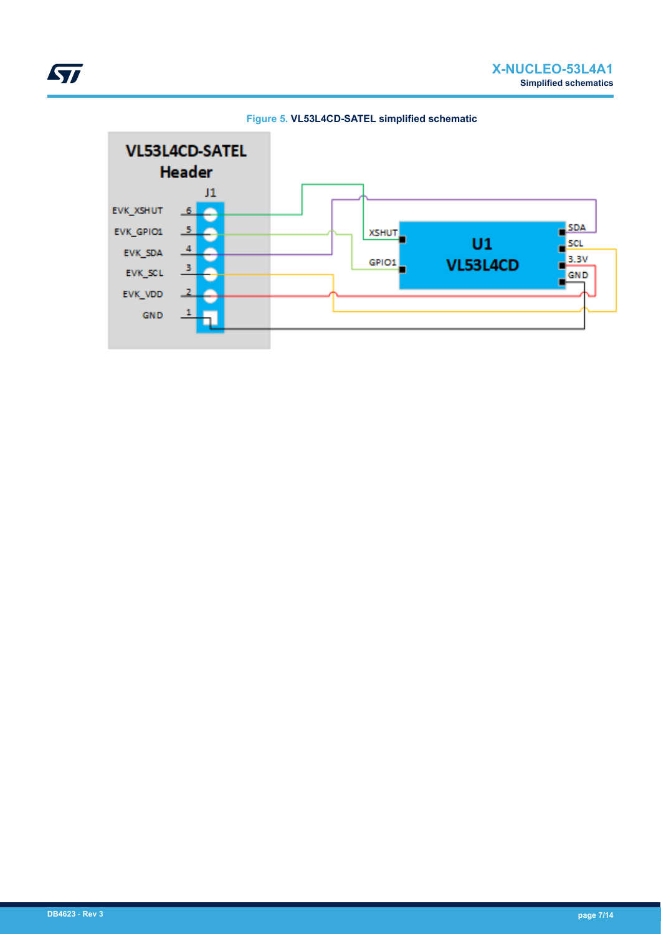

**Figure 5. VL53L4CD-SATEL simplified schematic**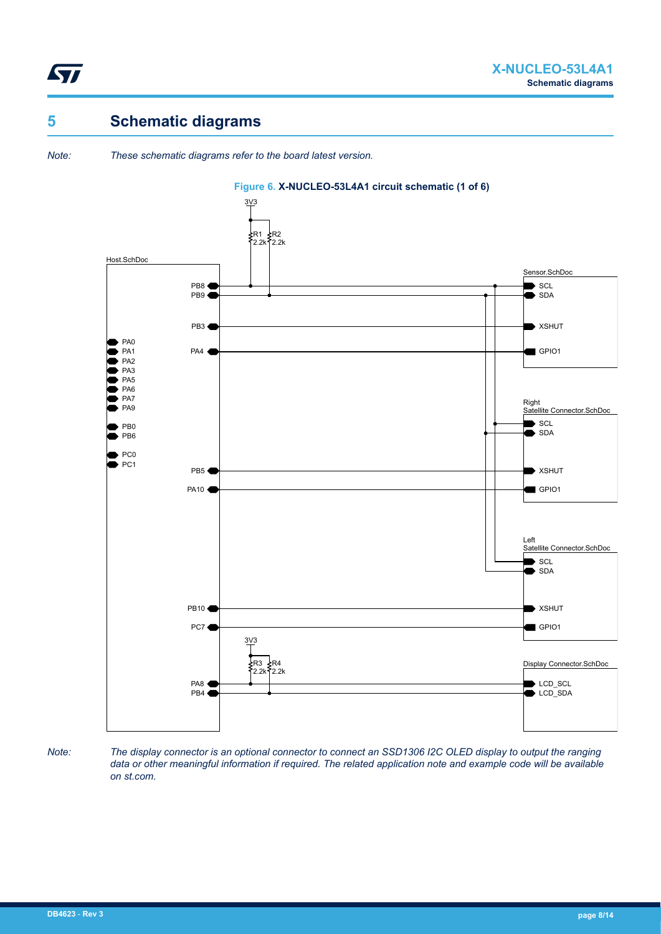![](_page_7_Picture_0.jpeg)

## **5 Schematic diagrams**

*Note: These schematic diagrams refer to the board latest version.*

![](_page_7_Figure_5.jpeg)

#### **Figure 6. X-NUCLEO-53L4A1 circuit schematic (1 of 6)**

*Note: The display connector is an optional connector to connect an SSD1306 I2C OLED display to output the ranging data or other meaningful information if required. The related application note and example code will be available on st.com.*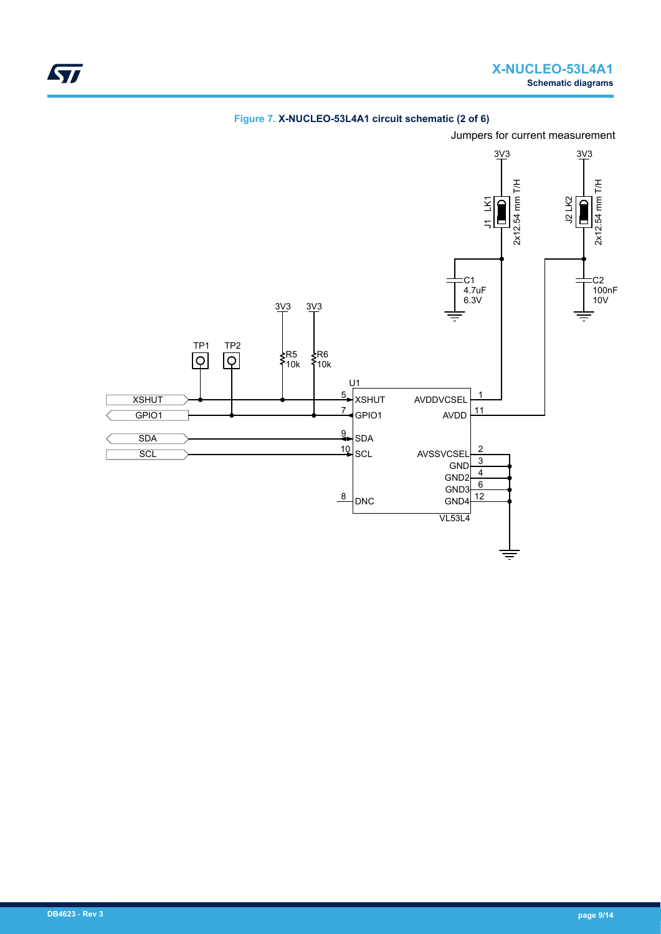![](_page_8_Figure_1.jpeg)

**Figure 7. X-NUCLEO-53L4A1 circuit schematic (2 of 6)**

Jumpers for current measurement

ST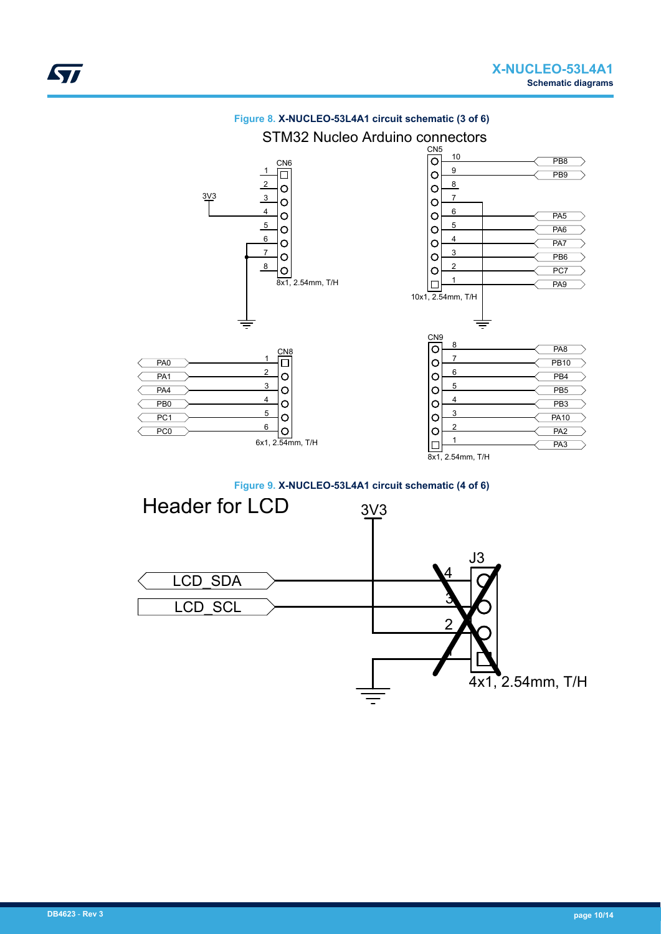![](_page_9_Figure_2.jpeg)

**Figure 8. X-NUCLEO-53L4A1 circuit schematic (3 of 6)**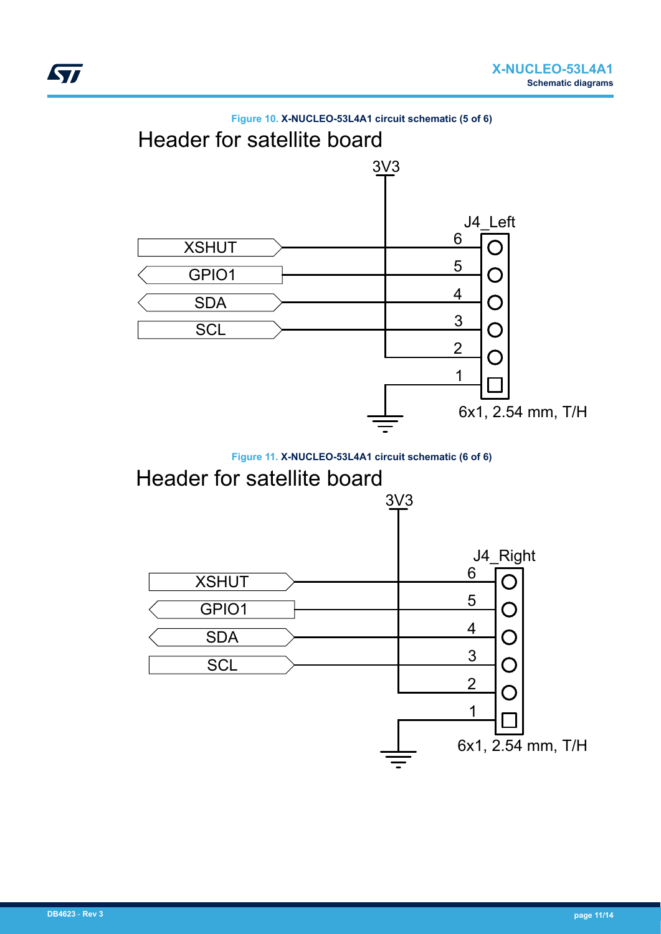![](_page_10_Figure_1.jpeg)

![](_page_10_Figure_2.jpeg)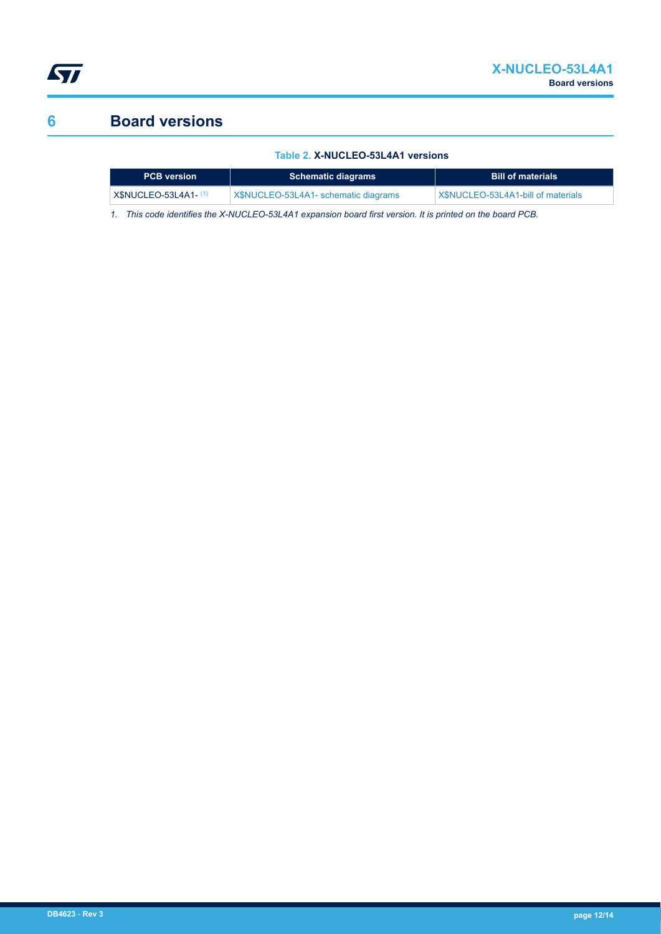![](_page_11_Picture_0.jpeg)

# **6 Board versions**

#### **Table 2. X-NUCLEO-53L4A1 versions**

| <b>PCB</b> version    | <b>Schematic diagrams</b>            | <b>Bill of materials</b>           |
|-----------------------|--------------------------------------|------------------------------------|
| $X$NUCLEO-53L4A1-(1)$ | X\$NUCLEO-53L4A1- schematic diagrams | X\$NUCLEO-53L4A1-bill of materials |

*1. This code identifies the X-NUCLEO-53L4A1 expansion board first version. It is printed on the board PCB.*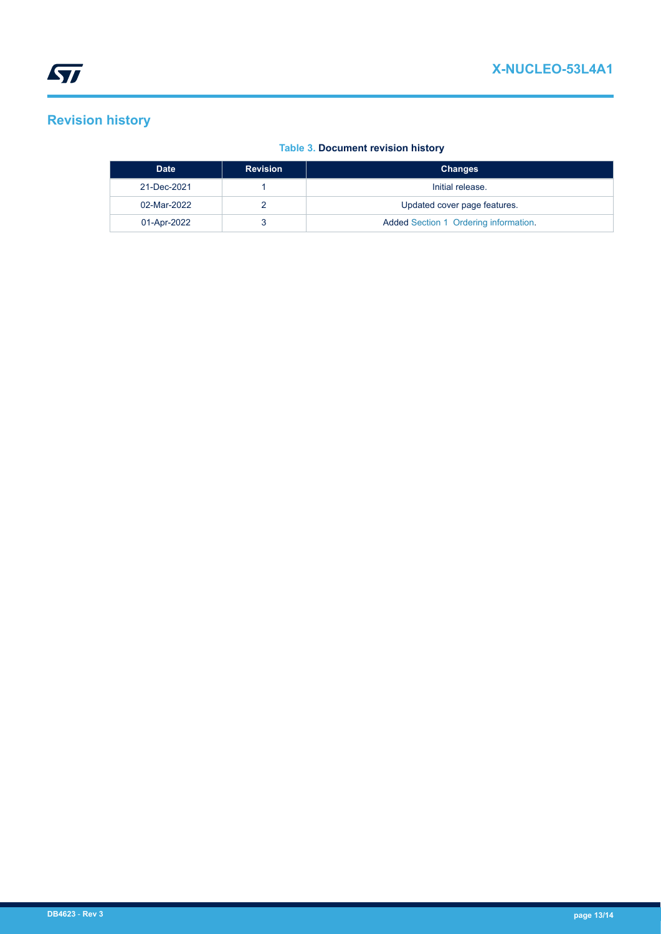## **Revision history**

#### **Table 3. Document revision history**

| <b>Date</b> | <b>Revision</b> | <b>Changes</b>                        |
|-------------|-----------------|---------------------------------------|
| 21-Dec-2021 |                 | Initial release.                      |
| 02-Mar-2022 |                 | Updated cover page features.          |
| 01-Apr-2022 |                 | Added Section 1 Ordering information. |